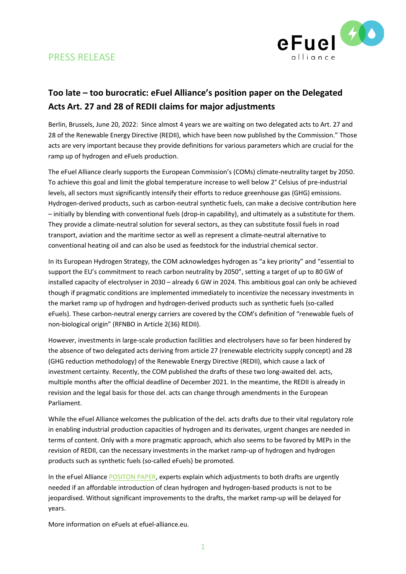



## **Too late – too burocratic: eFuel Alliance's position paper on the Delegated Acts Art. 27 and 28 of REDII claims for major adjustments**

Berlin, Brussels, June 20, 2022: Since almost 4 years we are waiting on two delegated acts to Art. 27 and 28 of the Renewable Energy Directive (REDII), which have been now published by the Commission." Those acts are very important because they provide definitions for various parameters which are crucial for the ramp up of hydrogen and eFuels production.

The eFuel Alliance clearly supports the European Commission's (COMs) climate-neutrality target by 2050. To achieve this goal and limit the global temperature increase to well below 2° Celsius of pre-industrial levels, all sectors must significantly intensify their efforts to reduce greenhouse gas (GHG) emissions. Hydrogen-derived products, such as carbon-neutral synthetic fuels, can make a decisive contribution here – initially by blending with conventional fuels (drop-in capability), and ultimately as a substitute for them. They provide a climate-neutral solution for several sectors, as they can substitute fossil fuels in road transport, aviation and the maritime sector as well as represent a climate-neutral alternative to conventional heating oil and can also be used as feedstock for the industrial chemical sector.

In its European Hydrogen Strategy, the COM acknowledges hydrogen as "a key priority" and "essential to support the EU's commitment to reach carbon neutrality by 2050", setting a target of up to 80 GW of installed capacity of electrolyser in 2030 – already 6 GW in 2024. This ambitious goal can only be achieved though if pragmatic conditions are implemented immediately to incentivize the necessary investments in the market ramp up of hydrogen and hydrogen-derived products such as synthetic fuels (so-called eFuels). These carbon-neutral energy carriers are covered by the COM's definition of "renewable fuels of non-biological origin" (RFNBO in Article 2(36) REDII).

However, investments in large-scale production facilities and electrolysers have so far been hindered by the absence of two delegated acts deriving from article 27 (renewable electricity supply concept) and 28 (GHG reduction methodology) of the Renewable Energy Directive (REDII), which cause a lack of investment certainty. Recently, the COM published the drafts of these two long-awaited del. acts, multiple months after the official deadline of December 2021. In the meantime, the REDII is already in revision and the legal basis for those del. acts can change through amendments in the European Parliament.

While the eFuel Alliance welcomes the publication of the del. acts drafts due to their vital regulatory role in enabling industrial production capacities of hydrogen and its derivates, urgent changes are needed in terms of content. Only with a more pragmatic approach, which also seems to be favored by MEPs in the revision of REDII, can the necessary investments in the market ramp-up of hydrogen and hydrogen products such as synthetic fuels (so-called eFuels) be promoted.

In the eFuel Alliance [POSITON](https://www.efuel-alliance.eu/fileadmin/Downloads/Positionspapiere/eFuel_Alliance_Position_paper_RED_II_Delegated_Acts.pdf) PAPER, experts explain which adjustments to both drafts are urgently needed if an affordable introduction of clean hydrogen and hydrogen-based products is not to be jeopardised. Without significant improvements to the drafts, the market ramp-up will be delayed for years.

More information on eFuels at efuel-alliance.eu.